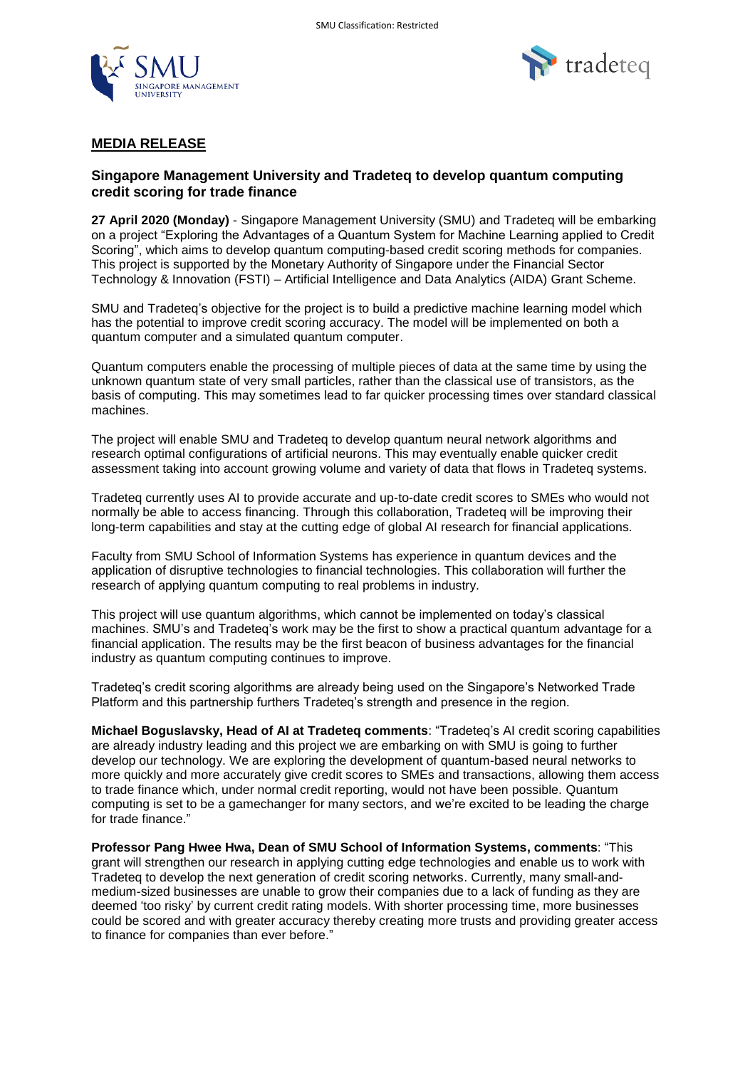



# **MEDIA RELEASE**

## **Singapore Management University and Tradeteq to develop quantum computing credit scoring for trade finance**

**27 April 2020 (Monday)** - Singapore Management University (SMU) and Tradeteq will be embarking on a project "Exploring the Advantages of a Quantum System for Machine Learning applied to Credit Scoring", which aims to develop quantum computing-based credit scoring methods for companies. This project is supported by the Monetary Authority of Singapore under the Financial Sector Technology & Innovation (FSTI) – Artificial Intelligence and Data Analytics (AIDA) Grant Scheme.

SMU and Tradeteq's objective for the project is to build a predictive machine learning model which has the potential to improve credit scoring accuracy. The model will be implemented on both a quantum computer and a simulated quantum computer.

Quantum computers enable the processing of multiple pieces of data at the same time by using the unknown quantum state of very small particles, rather than the classical use of transistors, as the basis of computing. This may sometimes lead to far quicker processing times over standard classical machines.

The project will enable SMU and Tradeteq to develop quantum neural network algorithms and research optimal configurations of artificial neurons. This may eventually enable quicker credit assessment taking into account growing volume and variety of data that flows in Tradeteq systems.

Tradeteq currently uses AI to provide accurate and up-to-date credit scores to SMEs who would not normally be able to access financing. Through this collaboration, Tradeteq will be improving their long-term capabilities and stay at the cutting edge of global AI research for financial applications.

Faculty from SMU School of Information Systems has experience in quantum devices and the application of disruptive technologies to financial technologies. This collaboration will further the research of applying quantum computing to real problems in industry.

This project will use quantum algorithms, which cannot be implemented on today's classical machines. SMU's and Tradeteq's work may be the first to show a practical quantum advantage for a financial application. The results may be the first beacon of business advantages for the financial industry as quantum computing continues to improve.

Tradeteq's credit scoring algorithms are already being used on the Singapore's Networked Trade Platform and this partnership furthers Tradeteq's strength and presence in the region.

**Michael Boguslavsky, Head of AI at Tradeteq comments**: "Tradeteq's AI credit scoring capabilities are already industry leading and this project we are embarking on with SMU is going to further develop our technology. We are exploring the development of quantum-based neural networks to more quickly and more accurately give credit scores to SMEs and transactions, allowing them access to trade finance which, under normal credit reporting, would not have been possible. Quantum computing is set to be a gamechanger for many sectors, and we're excited to be leading the charge for trade finance."

**Professor Pang Hwee Hwa, Dean of SMU School of Information Systems, comments**: "This grant will strengthen our research in applying cutting edge technologies and enable us to work with Tradeteq to develop the next generation of credit scoring networks. Currently, many small-andmedium-sized businesses are unable to grow their companies due to a lack of funding as they are deemed 'too risky' by current credit rating models. With shorter processing time, more businesses could be scored and with greater accuracy thereby creating more trusts and providing greater access to finance for companies than ever before."